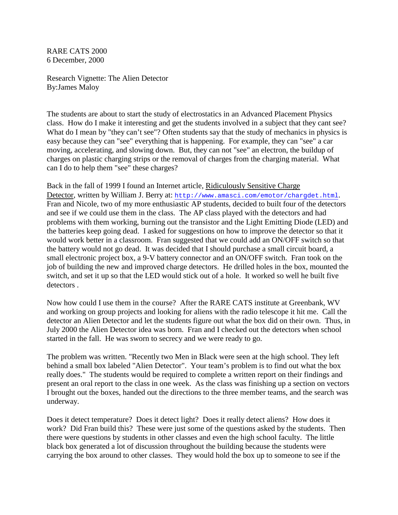RARE CATS 2000 6 December, 2000

Research Vignette: The Alien Detector By:James Maloy

The students are about to start the study of electrostatics in an Advanced Placement Physics class. How do I make it interesting and get the students involved in a subject that they cant see? What do I mean by "they can't see"? Often students say that the study of mechanics in physics is easy because they can "see" everything that is happening. For example, they can "see" a car moving, accelerating, and slowing down. But, they can not "see" an electron, the buildup of charges on plastic charging strips or the removal of charges from the charging material. What can I do to help them "see" these charges?

Back in the fall of 1999 I found an Internet article, Ridiculously Sensitive Charge Detector, written by William J. Berry at: http://www.amasci.com/emotor/chargdet.html. Fran and Nicole, two of my more enthusiastic AP students, decided to built four of the detectors and see if we could use them in the class. The AP class played with the detectors and had problems with them working, burning out the transistor and the Light Emitting Diode (LED) and the batteries keep going dead. I asked for suggestions on how to improve the detector so that it would work better in a classroom. Fran suggested that we could add an ON/OFF switch so that the battery would not go dead. It was decided that I should purchase a small circuit board, a small electronic project box, a 9-V battery connector and an ON/OFF switch. Fran took on the job of building the new and improved charge detectors. He drilled holes in the box, mounted the switch, and set it up so that the LED would stick out of a hole. It worked so well he built five detectors .

Now how could I use them in the course? After the RARE CATS institute at Greenbank, WV and working on group projects and looking for aliens with the radio telescope it hit me. Call the detector an Alien Detector and let the students figure out what the box did on their own. Thus, in July 2000 the Alien Detector idea was born. Fran and I checked out the detectors when school started in the fall. He was sworn to secrecy and we were ready to go.

The problem was written. "Recently two Men in Black were seen at the high school. They left behind a small box labeled "Alien Detector". Your team's problem is to find out what the box really does." The students would be required to complete a written report on their findings and present an oral report to the class in one week. As the class was finishing up a section on vectors I brought out the boxes, handed out the directions to the three member teams, and the search was underway.

Does it detect temperature? Does it detect light? Does it really detect aliens? How does it work? Did Fran build this? These were just some of the questions asked by the students. Then there were questions by students in other classes and even the high school faculty. The little black box generated a lot of discussion throughout the building because the students were carrying the box around to other classes. They would hold the box up to someone to see if the